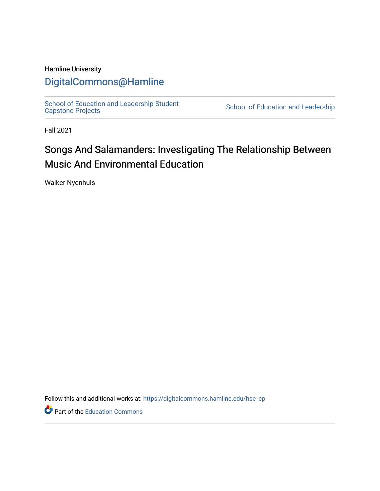### Hamline University

## [DigitalCommons@Hamline](https://digitalcommons.hamline.edu/)

[School of Education and Leadership Student](https://digitalcommons.hamline.edu/hse_cp)<br>Capstone Projects

School of Education and Leadership

Fall 2021

## Songs And Salamanders: Investigating The Relationship Between Music And Environmental Education

Walker Nyenhuis

Follow this and additional works at: [https://digitalcommons.hamline.edu/hse\\_cp](https://digitalcommons.hamline.edu/hse_cp?utm_source=digitalcommons.hamline.edu%2Fhse_cp%2F743&utm_medium=PDF&utm_campaign=PDFCoverPages) 

Part of the [Education Commons](http://network.bepress.com/hgg/discipline/784?utm_source=digitalcommons.hamline.edu%2Fhse_cp%2F743&utm_medium=PDF&utm_campaign=PDFCoverPages)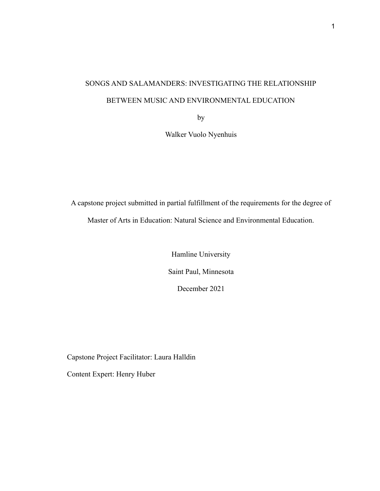# SONGS AND SALAMANDERS: INVESTIGATING THE RELATIONSHIP BETWEEN MUSIC AND ENVIRONMENTAL EDUCATION

by

Walker Vuolo Nyenhuis

A capstone project submitted in partial fulfillment of the requirements for the degree of Master of Arts in Education: Natural Science and Environmental Education.

> Hamline University Saint Paul, Minnesota December 2021

Capstone Project Facilitator: Laura Halldin

Content Expert: Henry Huber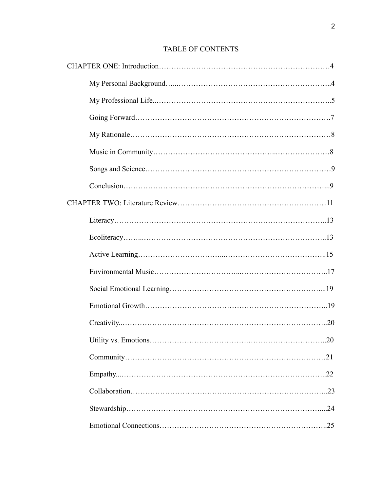## TABLE OF CONTENTS

|  |  | .20 |
|--|--|-----|
|  |  |     |
|  |  |     |
|  |  |     |
|  |  |     |
|  |  |     |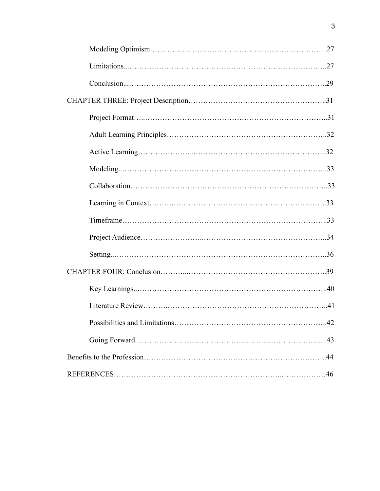| 42 |  |  |
|----|--|--|
|    |  |  |
|    |  |  |
|    |  |  |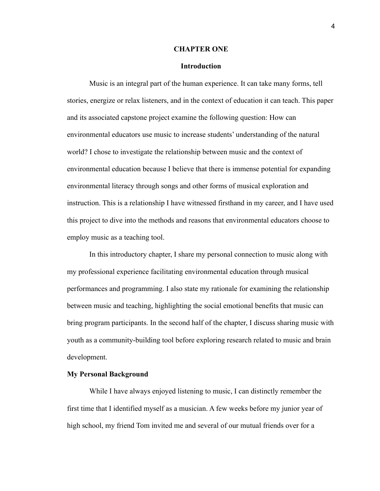#### **CHAPTER ONE**

#### **Introduction**

Music is an integral part of the human experience. It can take many forms, tell stories, energize or relax listeners, and in the context of education it can teach. This paper and its associated capstone project examine the following question: How can environmental educators use music to increase students' understanding of the natural world? I chose to investigate the relationship between music and the context of environmental education because I believe that there is immense potential for expanding environmental literacy through songs and other forms of musical exploration and instruction. This is a relationship I have witnessed firsthand in my career, and I have used this project to dive into the methods and reasons that environmental educators choose to employ music as a teaching tool.

In this introductory chapter, I share my personal connection to music along with my professional experience facilitating environmental education through musical performances and programming. I also state my rationale for examining the relationship between music and teaching, highlighting the social emotional benefits that music can bring program participants. In the second half of the chapter, I discuss sharing music with youth as a community-building tool before exploring research related to music and brain development.

#### **My Personal Background**

While I have always enjoyed listening to music, I can distinctly remember the first time that I identified myself as a musician. A few weeks before my junior year of high school, my friend Tom invited me and several of our mutual friends over for a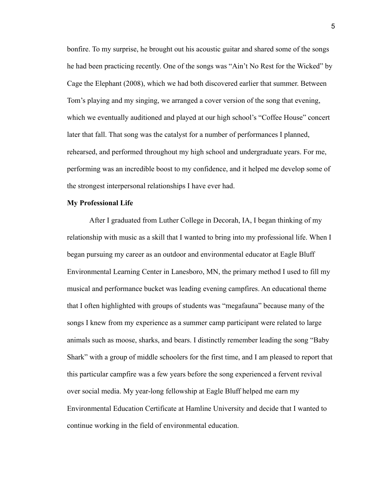bonfire. To my surprise, he brought out his acoustic guitar and shared some of the songs he had been practicing recently. One of the songs was "Ain't No Rest for the Wicked" by Cage the Elephant (2008), which we had both discovered earlier that summer. Between Tom's playing and my singing, we arranged a cover version of the song that evening, which we eventually auditioned and played at our high school's "Coffee House" concert later that fall. That song was the catalyst for a number of performances I planned, rehearsed, and performed throughout my high school and undergraduate years. For me, performing was an incredible boost to my confidence, and it helped me develop some of the strongest interpersonal relationships I have ever had.

#### **My Professional Life**

After I graduated from Luther College in Decorah, IA, I began thinking of my relationship with music as a skill that I wanted to bring into my professional life. When I began pursuing my career as an outdoor and environmental educator at Eagle Bluff Environmental Learning Center in Lanesboro, MN, the primary method I used to fill my musical and performance bucket was leading evening campfires. An educational theme that I often highlighted with groups of students was "megafauna" because many of the songs I knew from my experience as a summer camp participant were related to large animals such as moose, sharks, and bears. I distinctly remember leading the song "Baby Shark" with a group of middle schoolers for the first time, and I am pleased to report that this particular campfire was a few years before the song experienced a fervent revival over social media. My year-long fellowship at Eagle Bluff helped me earn my Environmental Education Certificate at Hamline University and decide that I wanted to continue working in the field of environmental education.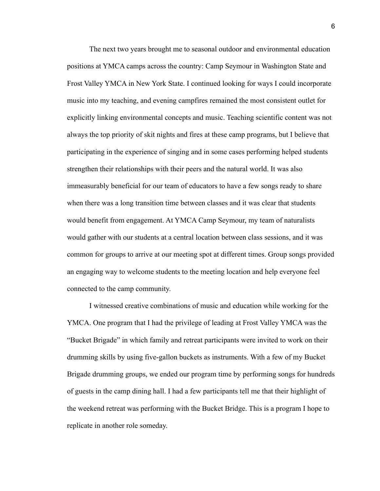The next two years brought me to seasonal outdoor and environmental education positions at YMCA camps across the country: Camp Seymour in Washington State and Frost Valley YMCA in New York State. I continued looking for ways I could incorporate music into my teaching, and evening campfires remained the most consistent outlet for explicitly linking environmental concepts and music. Teaching scientific content was not always the top priority of skit nights and fires at these camp programs, but I believe that participating in the experience of singing and in some cases performing helped students strengthen their relationships with their peers and the natural world. It was also immeasurably beneficial for our team of educators to have a few songs ready to share when there was a long transition time between classes and it was clear that students would benefit from engagement. At YMCA Camp Seymour, my team of naturalists would gather with our students at a central location between class sessions, and it was common for groups to arrive at our meeting spot at different times. Group songs provided an engaging way to welcome students to the meeting location and help everyone feel connected to the camp community.

I witnessed creative combinations of music and education while working for the YMCA. One program that I had the privilege of leading at Frost Valley YMCA was the "Bucket Brigade" in which family and retreat participants were invited to work on their drumming skills by using five-gallon buckets as instruments. With a few of my Bucket Brigade drumming groups, we ended our program time by performing songs for hundreds of guests in the camp dining hall. I had a few participants tell me that their highlight of the weekend retreat was performing with the Bucket Bridge. This is a program I hope to replicate in another role someday.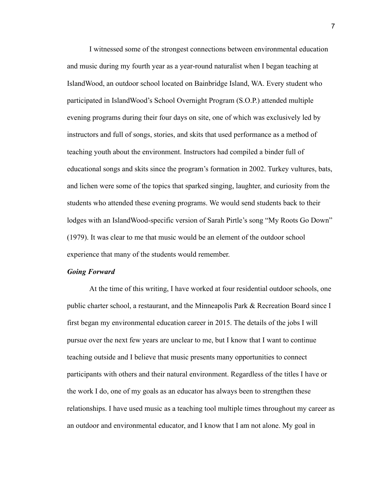I witnessed some of the strongest connections between environmental education and music during my fourth year as a year-round naturalist when I began teaching at IslandWood, an outdoor school located on Bainbridge Island, WA. Every student who participated in IslandWood's School Overnight Program (S.O.P.) attended multiple evening programs during their four days on site, one of which was exclusively led by instructors and full of songs, stories, and skits that used performance as a method of teaching youth about the environment. Instructors had compiled a binder full of educational songs and skits since the program's formation in 2002. Turkey vultures, bats, and lichen were some of the topics that sparked singing, laughter, and curiosity from the students who attended these evening programs. We would send students back to their lodges with an IslandWood-specific version of Sarah Pirtle's song "My Roots Go Down" (1979). It was clear to me that music would be an element of the outdoor school experience that many of the students would remember.

#### *Going Forward*

At the time of this writing, I have worked at four residential outdoor schools, one public charter school, a restaurant, and the Minneapolis Park & Recreation Board since I first began my environmental education career in 2015. The details of the jobs I will pursue over the next few years are unclear to me, but I know that I want to continue teaching outside and I believe that music presents many opportunities to connect participants with others and their natural environment. Regardless of the titles I have or the work I do, one of my goals as an educator has always been to strengthen these relationships. I have used music as a teaching tool multiple times throughout my career as an outdoor and environmental educator, and I know that I am not alone. My goal in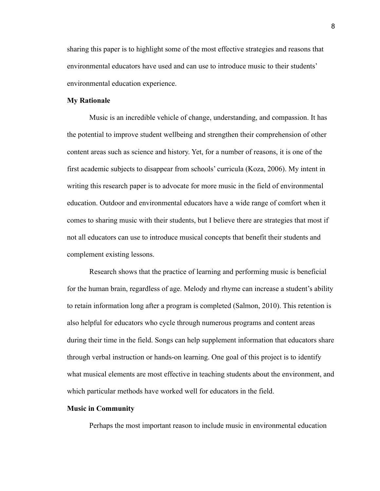sharing this paper is to highlight some of the most effective strategies and reasons that environmental educators have used and can use to introduce music to their students' environmental education experience.

#### **My Rationale**

Music is an incredible vehicle of change, understanding, and compassion. It has the potential to improve student wellbeing and strengthen their comprehension of other content areas such as science and history. Yet, for a number of reasons, it is one of the first academic subjects to disappear from schools' curricula (Koza, 2006). My intent in writing this research paper is to advocate for more music in the field of environmental education. Outdoor and environmental educators have a wide range of comfort when it comes to sharing music with their students, but I believe there are strategies that most if not all educators can use to introduce musical concepts that benefit their students and complement existing lessons.

Research shows that the practice of learning and performing music is beneficial for the human brain, regardless of age. Melody and rhyme can increase a student's ability to retain information long after a program is completed (Salmon, 2010). This retention is also helpful for educators who cycle through numerous programs and content areas during their time in the field. Songs can help supplement information that educators share through verbal instruction or hands-on learning. One goal of this project is to identify what musical elements are most effective in teaching students about the environment, and which particular methods have worked well for educators in the field.

#### **Music in Community**

Perhaps the most important reason to include music in environmental education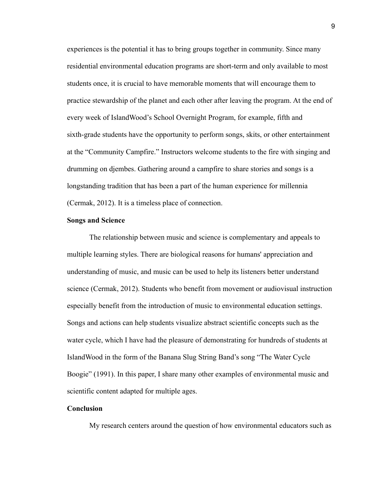experiences is the potential it has to bring groups together in community. Since many residential environmental education programs are short-term and only available to most students once, it is crucial to have memorable moments that will encourage them to practice stewardship of the planet and each other after leaving the program. At the end of every week of IslandWood's School Overnight Program, for example, fifth and sixth-grade students have the opportunity to perform songs, skits, or other entertainment at the "Community Campfire." Instructors welcome students to the fire with singing and drumming on djembes. Gathering around a campfire to share stories and songs is a longstanding tradition that has been a part of the human experience for millennia (Cermak, 2012). It is a timeless place of connection.

#### **Songs and Science**

The relationship between music and science is complementary and appeals to multiple learning styles. There are biological reasons for humans' appreciation and understanding of music, and music can be used to help its listeners better understand science (Cermak, 2012). Students who benefit from movement or audiovisual instruction especially benefit from the introduction of music to environmental education settings. Songs and actions can help students visualize abstract scientific concepts such as the water cycle, which I have had the pleasure of demonstrating for hundreds of students at IslandWood in the form of the Banana Slug String Band's song "The Water Cycle Boogie" (1991). In this paper, I share many other examples of environmental music and scientific content adapted for multiple ages.

#### **Conclusion**

My research centers around the question of how environmental educators such as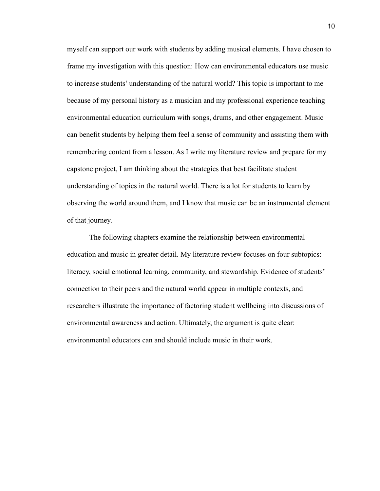myself can support our work with students by adding musical elements. I have chosen to frame my investigation with this question: How can environmental educators use music to increase students' understanding of the natural world? This topic is important to me because of my personal history as a musician and my professional experience teaching environmental education curriculum with songs, drums, and other engagement. Music can benefit students by helping them feel a sense of community and assisting them with remembering content from a lesson. As I write my literature review and prepare for my capstone project, I am thinking about the strategies that best facilitate student understanding of topics in the natural world. There is a lot for students to learn by observing the world around them, and I know that music can be an instrumental element of that journey.

The following chapters examine the relationship between environmental education and music in greater detail. My literature review focuses on four subtopics: literacy, social emotional learning, community, and stewardship. Evidence of students' connection to their peers and the natural world appear in multiple contexts, and researchers illustrate the importance of factoring student wellbeing into discussions of environmental awareness and action. Ultimately, the argument is quite clear: environmental educators can and should include music in their work.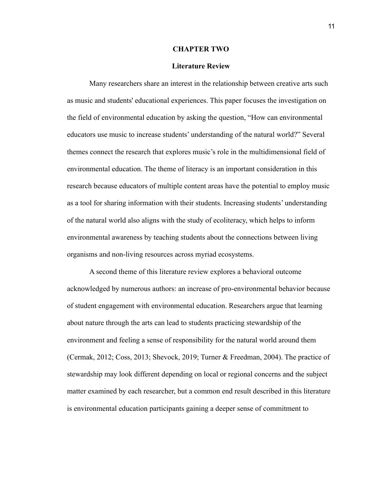#### **CHAPTER TWO**

#### **Literature Review**

Many researchers share an interest in the relationship between creative arts such as music and students' educational experiences. This paper focuses the investigation on the field of environmental education by asking the question, "How can environmental educators use music to increase students' understanding of the natural world?" Several themes connect the research that explores music's role in the multidimensional field of environmental education. The theme of literacy is an important consideration in this research because educators of multiple content areas have the potential to employ music as a tool for sharing information with their students. Increasing students' understanding of the natural world also aligns with the study of ecoliteracy, which helps to inform environmental awareness by teaching students about the connections between living organisms and non-living resources across myriad ecosystems.

A second theme of this literature review explores a behavioral outcome acknowledged by numerous authors: an increase of pro-environmental behavior because of student engagement with environmental education. Researchers argue that learning about nature through the arts can lead to students practicing stewardship of the environment and feeling a sense of responsibility for the natural world around them (Cermak, 2012; Coss, 2013; Shevock, 2019; Turner & Freedman, 2004). The practice of stewardship may look different depending on local or regional concerns and the subject matter examined by each researcher, but a common end result described in this literature is environmental education participants gaining a deeper sense of commitment to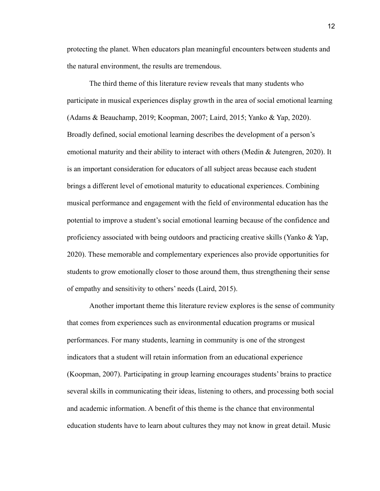protecting the planet. When educators plan meaningful encounters between students and the natural environment, the results are tremendous.

The third theme of this literature review reveals that many students who participate in musical experiences display growth in the area of social emotional learning (Adams & Beauchamp, 2019; Koopman, 2007; Laird, 2015; Yanko & Yap, 2020). Broadly defined, social emotional learning describes the development of a person's emotional maturity and their ability to interact with others (Medin & Jutengren, 2020). It is an important consideration for educators of all subject areas because each student brings a different level of emotional maturity to educational experiences. Combining musical performance and engagement with the field of environmental education has the potential to improve a student's social emotional learning because of the confidence and proficiency associated with being outdoors and practicing creative skills (Yanko  $\&$  Yap, 2020). These memorable and complementary experiences also provide opportunities for students to grow emotionally closer to those around them, thus strengthening their sense of empathy and sensitivity to others' needs (Laird, 2015).

Another important theme this literature review explores is the sense of community that comes from experiences such as environmental education programs or musical performances. For many students, learning in community is one of the strongest indicators that a student will retain information from an educational experience (Koopman, 2007). Participating in group learning encourages students' brains to practice several skills in communicating their ideas, listening to others, and processing both social and academic information. A benefit of this theme is the chance that environmental education students have to learn about cultures they may not know in great detail. Music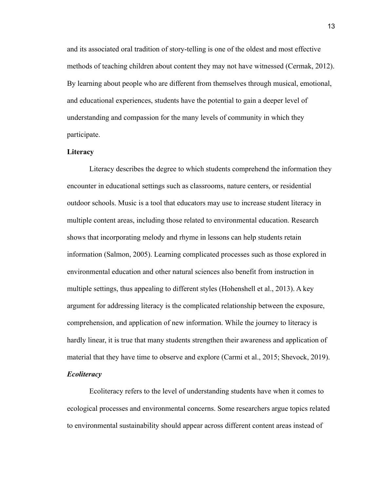and its associated oral tradition of story-telling is one of the oldest and most effective methods of teaching children about content they may not have witnessed (Cermak, 2012). By learning about people who are different from themselves through musical, emotional, and educational experiences, students have the potential to gain a deeper level of understanding and compassion for the many levels of community in which they participate.

#### **Literacy**

Literacy describes the degree to which students comprehend the information they encounter in educational settings such as classrooms, nature centers, or residential outdoor schools. Music is a tool that educators may use to increase student literacy in multiple content areas, including those related to environmental education. Research shows that incorporating melody and rhyme in lessons can help students retain information (Salmon, 2005). Learning complicated processes such as those explored in environmental education and other natural sciences also benefit from instruction in multiple settings, thus appealing to different styles (Hohenshell et al., 2013). A key argument for addressing literacy is the complicated relationship between the exposure, comprehension, and application of new information. While the journey to literacy is hardly linear, it is true that many students strengthen their awareness and application of material that they have time to observe and explore (Carmi et al., 2015; Shevock, 2019). *Ecoliteracy*

Ecoliteracy refers to the level of understanding students have when it comes to ecological processes and environmental concerns. Some researchers argue topics related to environmental sustainability should appear across different content areas instead of

13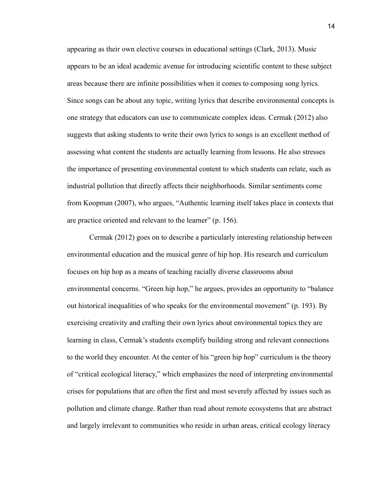appearing as their own elective courses in educational settings (Clark, 2013). Music appears to be an ideal academic avenue for introducing scientific content to these subject areas because there are infinite possibilities when it comes to composing song lyrics. Since songs can be about any topic, writing lyrics that describe environmental concepts is one strategy that educators can use to communicate complex ideas. Cermak (2012) also suggests that asking students to write their own lyrics to songs is an excellent method of assessing what content the students are actually learning from lessons. He also stresses the importance of presenting environmental content to which students can relate, such as industrial pollution that directly affects their neighborhoods. Similar sentiments come from Koopman (2007), who argues, "Authentic learning itself takes place in contexts that are practice oriented and relevant to the learner" (p. 156).

Cermak (2012) goes on to describe a particularly interesting relationship between environmental education and the musical genre of hip hop. His research and curriculum focuses on hip hop as a means of teaching racially diverse classrooms about environmental concerns. "Green hip hop," he argues, provides an opportunity to "balance out historical inequalities of who speaks for the environmental movement" (p. 193). By exercising creativity and crafting their own lyrics about environmental topics they are learning in class, Cermak's students exemplify building strong and relevant connections to the world they encounter. At the center of his "green hip hop" curriculum is the theory of "critical ecological literacy," which emphasizes the need of interpreting environmental crises for populations that are often the first and most severely affected by issues such as pollution and climate change. Rather than read about remote ecosystems that are abstract and largely irrelevant to communities who reside in urban areas, critical ecology literacy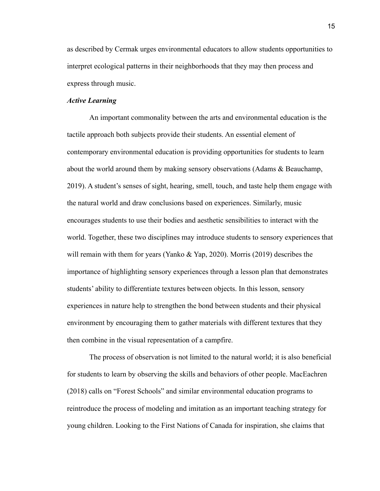as described by Cermak urges environmental educators to allow students opportunities to interpret ecological patterns in their neighborhoods that they may then process and express through music.

#### *Active Learning*

An important commonality between the arts and environmental education is the tactile approach both subjects provide their students. An essential element of contemporary environmental education is providing opportunities for students to learn about the world around them by making sensory observations (Adams & Beauchamp, 2019). A student's senses of sight, hearing, smell, touch, and taste help them engage with the natural world and draw conclusions based on experiences. Similarly, music encourages students to use their bodies and aesthetic sensibilities to interact with the world. Together, these two disciplines may introduce students to sensory experiences that will remain with them for years (Yanko & Yap, 2020). Morris (2019) describes the importance of highlighting sensory experiences through a lesson plan that demonstrates students' ability to differentiate textures between objects. In this lesson, sensory experiences in nature help to strengthen the bond between students and their physical environment by encouraging them to gather materials with different textures that they then combine in the visual representation of a campfire.

The process of observation is not limited to the natural world; it is also beneficial for students to learn by observing the skills and behaviors of other people. MacEachren (2018) calls on "Forest Schools" and similar environmental education programs to reintroduce the process of modeling and imitation as an important teaching strategy for young children. Looking to the First Nations of Canada for inspiration, she claims that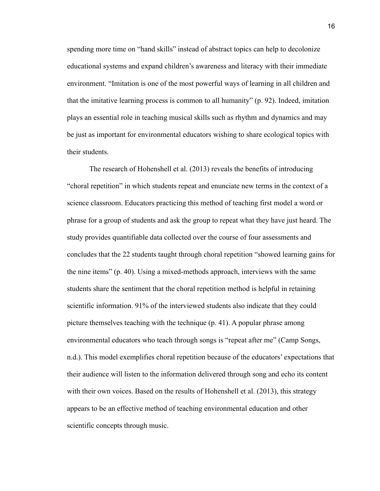spending more time on "hand skills" instead of abstract topics can help to decolonize educational systems and expand children's awareness and literacy with their immediate environment. "Imitation is one of the most powerful ways of learning in all children and that the imitative learning process is common to all humanity" (p. 92). Indeed, imitation plays an essential role in teaching musical skills such as rhythm and dynamics and may be just as important for environmental educators wishing to share ecological topics with their students.

The research of Hohenshell et al. (2013) reveals the benefits of introducing "choral repetition" in which students repeat and enunciate new terms in the context of a science classroom. Educators practicing this method of teaching first model a word or phrase for a group of students and ask the group to repeat what they have just heard. The study provides quantifiable data collected over the course of four assessments and concludes that the 22 students taught through choral repetition "showed learning gains for the nine items" (p. 40). Using a mixed-methods approach, interviews with the same students share the sentiment that the choral repetition method is helpful in retaining scientific information. 91% of the interviewed students also indicate that they could picture themselves teaching with the technique (p. 41). A popular phrase among environmental educators who teach through songs is "repeat after me" (Camp Songs, n.d.). This model exemplifies choral repetition because of the educators' expectations that their audience will listen to the information delivered through song and echo its content with their own voices. Based on the results of Hohenshell et al. (2013), this strategy appears to be an effective method of teaching environmental education and other scientific concepts through music.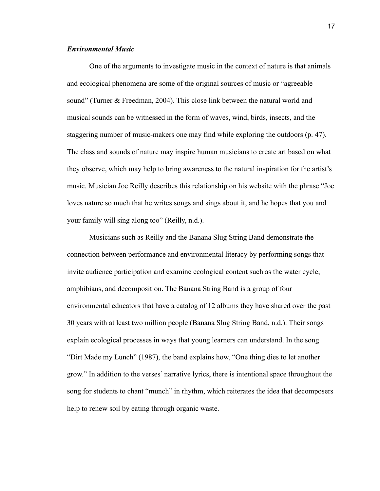#### *Environmental Music*

One of the arguments to investigate music in the context of nature is that animals and ecological phenomena are some of the original sources of music or "agreeable sound" (Turner & Freedman, 2004). This close link between the natural world and musical sounds can be witnessed in the form of waves, wind, birds, insects, and the staggering number of music-makers one may find while exploring the outdoors (p. 47). The class and sounds of nature may inspire human musicians to create art based on what they observe, which may help to bring awareness to the natural inspiration for the artist's music. Musician Joe Reilly describes this relationship on his website with the phrase "Joe loves nature so much that he writes songs and sings about it, and he hopes that you and your family will sing along too" (Reilly, n.d.).

Musicians such as Reilly and the Banana Slug String Band demonstrate the connection between performance and environmental literacy by performing songs that invite audience participation and examine ecological content such as the water cycle, amphibians, and decomposition. The Banana String Band is a group of four environmental educators that have a catalog of 12 albums they have shared over the past 30 years with at least two million people (Banana Slug String Band, n.d.). Their songs explain ecological processes in ways that young learners can understand. In the song "Dirt Made my Lunch" (1987), the band explains how, "One thing dies to let another grow." In addition to the verses' narrative lyrics, there is intentional space throughout the song for students to chant "munch" in rhythm, which reiterates the idea that decomposers help to renew soil by eating through organic waste.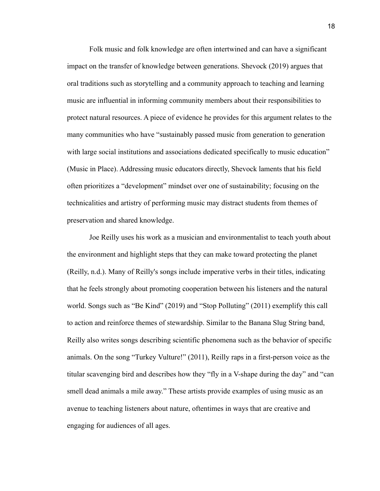Folk music and folk knowledge are often intertwined and can have a significant impact on the transfer of knowledge between generations. Shevock (2019) argues that oral traditions such as storytelling and a community approach to teaching and learning music are influential in informing community members about their responsibilities to protect natural resources. A piece of evidence he provides for this argument relates to the many communities who have "sustainably passed music from generation to generation with large social institutions and associations dedicated specifically to music education" (Music in Place). Addressing music educators directly, Shevock laments that his field often prioritizes a "development" mindset over one of sustainability; focusing on the technicalities and artistry of performing music may distract students from themes of preservation and shared knowledge.

Joe Reilly uses his work as a musician and environmentalist to teach youth about the environment and highlight steps that they can make toward protecting the planet (Reilly, n.d.). Many of Reilly's songs include imperative verbs in their titles, indicating that he feels strongly about promoting cooperation between his listeners and the natural world. Songs such as "Be Kind" (2019) and "Stop Polluting" (2011) exemplify this call to action and reinforce themes of stewardship. Similar to the Banana Slug String band, Reilly also writes songs describing scientific phenomena such as the behavior of specific animals. On the song "Turkey Vulture!" (2011), Reilly raps in a first-person voice as the titular scavenging bird and describes how they "fly in a V-shape during the day" and "can smell dead animals a mile away." These artists provide examples of using music as an avenue to teaching listeners about nature, oftentimes in ways that are creative and engaging for audiences of all ages.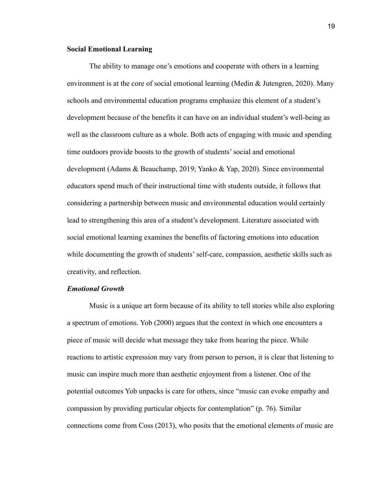#### **Social Emotional Learning**

The ability to manage one's emotions and cooperate with others in a learning environment is at the core of social emotional learning (Medin  $\&$  Jutengren, 2020). Many schools and environmental education programs emphasize this element of a student's development because of the benefits it can have on an individual student's well-being as well as the classroom culture as a whole. Both acts of engaging with music and spending time outdoors provide boosts to the growth of students' social and emotional development (Adams & Beauchamp, 2019; Yanko & Yap, 2020). Since environmental educators spend much of their instructional time with students outside, it follows that considering a partnership between music and environmental education would certainly lead to strengthening this area of a student's development. Literature associated with social emotional learning examines the benefits of factoring emotions into education while documenting the growth of students' self-care, compassion, aesthetic skills such as creativity, and reflection.

#### *Emotional Growth*

Music is a unique art form because of its ability to tell stories while also exploring a spectrum of emotions. Yob (2000) argues that the context in which one encounters a piece of music will decide what message they take from hearing the piece. While reactions to artistic expression may vary from person to person, it is clear that listening to music can inspire much more than aesthetic enjoyment from a listener. One of the potential outcomes Yob unpacks is care for others, since "music can evoke empathy and compassion by providing particular objects for contemplation" (p. 76). Similar connections come from Coss (2013), who posits that the emotional elements of music are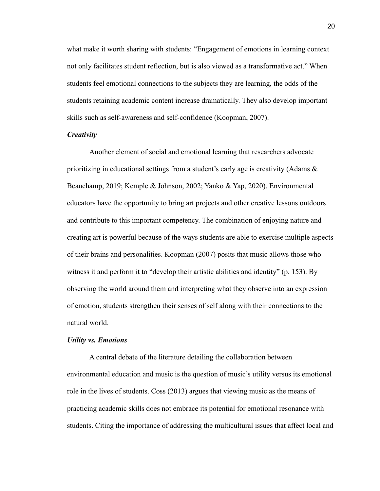what make it worth sharing with students: "Engagement of emotions in learning context not only facilitates student reflection, but is also viewed as a transformative act." When students feel emotional connections to the subjects they are learning, the odds of the students retaining academic content increase dramatically. They also develop important skills such as self-awareness and self-confidence (Koopman, 2007).

#### *Creativity*

Another element of social and emotional learning that researchers advocate prioritizing in educational settings from a student's early age is creativity (Adams  $\&$ Beauchamp, 2019; Kemple & Johnson, 2002; Yanko & Yap, 2020). Environmental educators have the opportunity to bring art projects and other creative lessons outdoors and contribute to this important competency. The combination of enjoying nature and creating art is powerful because of the ways students are able to exercise multiple aspects of their brains and personalities. Koopman (2007) posits that music allows those who witness it and perform it to "develop their artistic abilities and identity" (p. 153). By observing the world around them and interpreting what they observe into an expression of emotion, students strengthen their senses of self along with their connections to the natural world.

#### *Utility vs. Emotions*

A central debate of the literature detailing the collaboration between environmental education and music is the question of music's utility versus its emotional role in the lives of students. Coss (2013) argues that viewing music as the means of practicing academic skills does not embrace its potential for emotional resonance with students. Citing the importance of addressing the multicultural issues that affect local and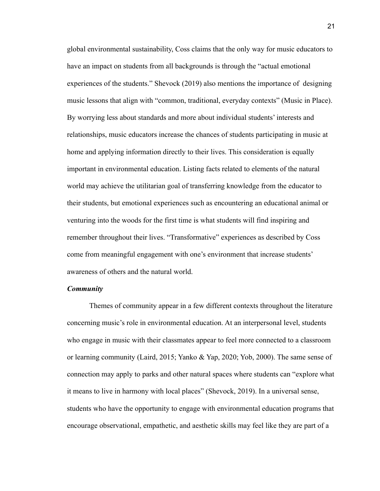global environmental sustainability, Coss claims that the only way for music educators to have an impact on students from all backgrounds is through the "actual emotional experiences of the students." Shevock (2019) also mentions the importance of designing music lessons that align with "common, traditional, everyday contexts" (Music in Place). By worrying less about standards and more about individual students' interests and relationships, music educators increase the chances of students participating in music at home and applying information directly to their lives. This consideration is equally important in environmental education. Listing facts related to elements of the natural world may achieve the utilitarian goal of transferring knowledge from the educator to their students, but emotional experiences such as encountering an educational animal or venturing into the woods for the first time is what students will find inspiring and remember throughout their lives. "Transformative" experiences as described by Coss come from meaningful engagement with one's environment that increase students' awareness of others and the natural world.

#### *Community*

Themes of community appear in a few different contexts throughout the literature concerning music's role in environmental education. At an interpersonal level, students who engage in music with their classmates appear to feel more connected to a classroom or learning community (Laird, 2015; Yanko & Yap, 2020; Yob, 2000). The same sense of connection may apply to parks and other natural spaces where students can "explore what it means to live in harmony with local places" (Shevock, 2019). In a universal sense, students who have the opportunity to engage with environmental education programs that encourage observational, empathetic, and aesthetic skills may feel like they are part of a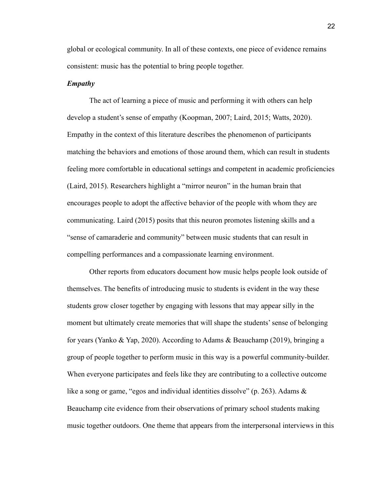global or ecological community. In all of these contexts, one piece of evidence remains consistent: music has the potential to bring people together.

#### *Empathy*

The act of learning a piece of music and performing it with others can help develop a student's sense of empathy (Koopman, 2007; Laird, 2015; Watts, 2020). Empathy in the context of this literature describes the phenomenon of participants matching the behaviors and emotions of those around them, which can result in students feeling more comfortable in educational settings and competent in academic proficiencies (Laird, 2015). Researchers highlight a "mirror neuron" in the human brain that encourages people to adopt the affective behavior of the people with whom they are communicating. Laird (2015) posits that this neuron promotes listening skills and a "sense of camaraderie and community" between music students that can result in compelling performances and a compassionate learning environment.

Other reports from educators document how music helps people look outside of themselves. The benefits of introducing music to students is evident in the way these students grow closer together by engaging with lessons that may appear silly in the moment but ultimately create memories that will shape the students' sense of belonging for years (Yanko & Yap, 2020). According to Adams & Beauchamp (2019), bringing a group of people together to perform music in this way is a powerful community-builder. When everyone participates and feels like they are contributing to a collective outcome like a song or game, "egos and individual identities dissolve" (p. 263). Adams  $\&$ Beauchamp cite evidence from their observations of primary school students making music together outdoors. One theme that appears from the interpersonal interviews in this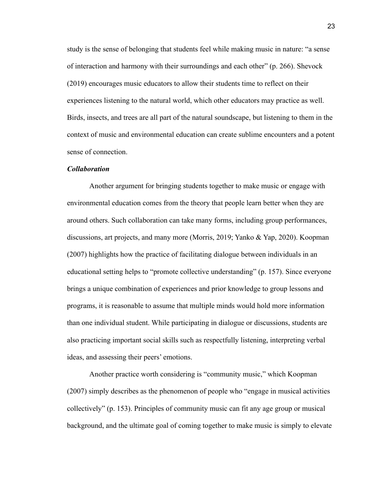study is the sense of belonging that students feel while making music in nature: "a sense of interaction and harmony with their surroundings and each other" (p. 266). Shevock (2019) encourages music educators to allow their students time to reflect on their experiences listening to the natural world, which other educators may practice as well. Birds, insects, and trees are all part of the natural soundscape, but listening to them in the context of music and environmental education can create sublime encounters and a potent sense of connection.

#### *Collaboration*

Another argument for bringing students together to make music or engage with environmental education comes from the theory that people learn better when they are around others. Such collaboration can take many forms, including group performances, discussions, art projects, and many more (Morris, 2019; Yanko & Yap, 2020). Koopman (2007) highlights how the practice of facilitating dialogue between individuals in an educational setting helps to "promote collective understanding" (p. 157). Since everyone brings a unique combination of experiences and prior knowledge to group lessons and programs, it is reasonable to assume that multiple minds would hold more information than one individual student. While participating in dialogue or discussions, students are also practicing important social skills such as respectfully listening, interpreting verbal ideas, and assessing their peers' emotions.

Another practice worth considering is "community music," which Koopman (2007) simply describes as the phenomenon of people who "engage in musical activities collectively" (p. 153). Principles of community music can fit any age group or musical background, and the ultimate goal of coming together to make music is simply to elevate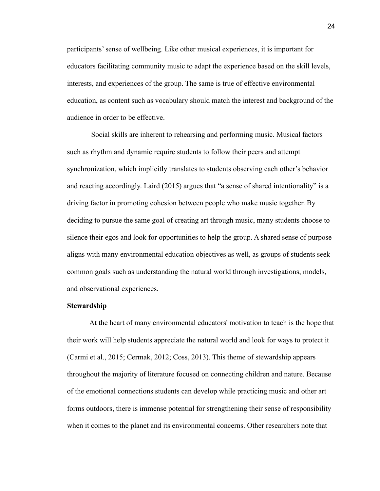participants' sense of wellbeing. Like other musical experiences, it is important for educators facilitating community music to adapt the experience based on the skill levels, interests, and experiences of the group. The same is true of effective environmental education, as content such as vocabulary should match the interest and background of the audience in order to be effective.

Social skills are inherent to rehearsing and performing music. Musical factors such as rhythm and dynamic require students to follow their peers and attempt synchronization, which implicitly translates to students observing each other's behavior and reacting accordingly. Laird (2015) argues that "a sense of shared intentionality" is a driving factor in promoting cohesion between people who make music together. By deciding to pursue the same goal of creating art through music, many students choose to silence their egos and look for opportunities to help the group. A shared sense of purpose aligns with many environmental education objectives as well, as groups of students seek common goals such as understanding the natural world through investigations, models, and observational experiences.

#### **Stewardship**

At the heart of many environmental educators' motivation to teach is the hope that their work will help students appreciate the natural world and look for ways to protect it (Carmi et al., 2015; Cermak, 2012; Coss, 2013). This theme of stewardship appears throughout the majority of literature focused on connecting children and nature. Because of the emotional connections students can develop while practicing music and other art forms outdoors, there is immense potential for strengthening their sense of responsibility when it comes to the planet and its environmental concerns. Other researchers note that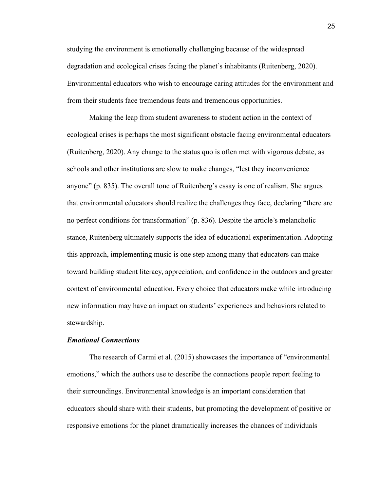studying the environment is emotionally challenging because of the widespread degradation and ecological crises facing the planet's inhabitants (Ruitenberg, 2020). Environmental educators who wish to encourage caring attitudes for the environment and from their students face tremendous feats and tremendous opportunities.

Making the leap from student awareness to student action in the context of ecological crises is perhaps the most significant obstacle facing environmental educators (Ruitenberg, 2020). Any change to the status quo is often met with vigorous debate, as schools and other institutions are slow to make changes, "lest they inconvenience anyone" (p. 835). The overall tone of Ruitenberg's essay is one of realism. She argues that environmental educators should realize the challenges they face, declaring "there are no perfect conditions for transformation" (p. 836). Despite the article's melancholic stance, Ruitenberg ultimately supports the idea of educational experimentation. Adopting this approach, implementing music is one step among many that educators can make toward building student literacy, appreciation, and confidence in the outdoors and greater context of environmental education. Every choice that educators make while introducing new information may have an impact on students' experiences and behaviors related to stewardship.

#### *Emotional Connections*

The research of Carmi et al. (2015) showcases the importance of "environmental emotions," which the authors use to describe the connections people report feeling to their surroundings. Environmental knowledge is an important consideration that educators should share with their students, but promoting the development of positive or responsive emotions for the planet dramatically increases the chances of individuals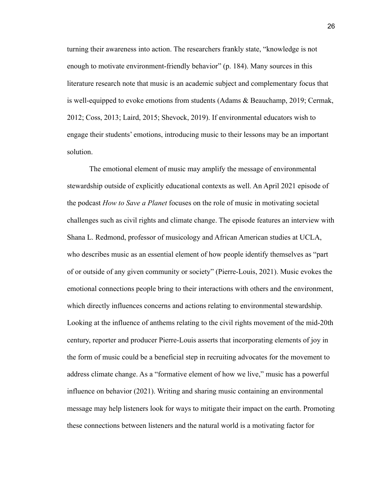turning their awareness into action. The researchers frankly state, "knowledge is not enough to motivate environment-friendly behavior" (p. 184). Many sources in this literature research note that music is an academic subject and complementary focus that is well-equipped to evoke emotions from students (Adams & Beauchamp, 2019; Cermak, 2012; Coss, 2013; Laird, 2015; Shevock, 2019). If environmental educators wish to engage their students' emotions, introducing music to their lessons may be an important solution.

The emotional element of music may amplify the message of environmental stewardship outside of explicitly educational contexts as well. An April 2021 episode of the podcast *How to Save a Planet* focuses on the role of music in motivating societal challenges such as civil rights and climate change. The episode features an interview with Shana L. Redmond, professor of musicology and African American studies at UCLA, who describes music as an essential element of how people identify themselves as "part of or outside of any given community or society" (Pierre-Louis, 2021). Music evokes the emotional connections people bring to their interactions with others and the environment, which directly influences concerns and actions relating to environmental stewardship. Looking at the influence of anthems relating to the civil rights movement of the mid-20th century, reporter and producer Pierre-Louis asserts that incorporating elements of joy in the form of music could be a beneficial step in recruiting advocates for the movement to address climate change. As a "formative element of how we live," music has a powerful influence on behavior (2021). Writing and sharing music containing an environmental message may help listeners look for ways to mitigate their impact on the earth. Promoting these connections between listeners and the natural world is a motivating factor for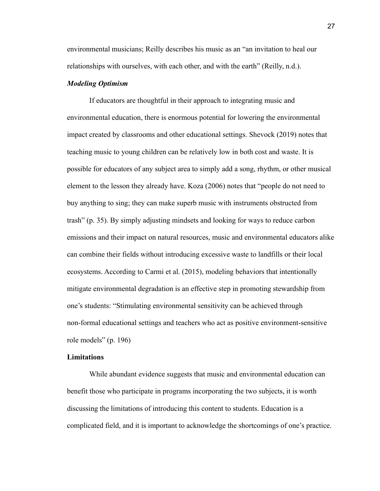environmental musicians; Reilly describes his music as an "an invitation to heal our relationships with ourselves, with each other, and with the earth" (Reilly, n.d.).

#### *Modeling Optimism*

If educators are thoughtful in their approach to integrating music and environmental education, there is enormous potential for lowering the environmental impact created by classrooms and other educational settings. Shevock (2019) notes that teaching music to young children can be relatively low in both cost and waste. It is possible for educators of any subject area to simply add a song, rhythm, or other musical element to the lesson they already have. Koza (2006) notes that "people do not need to buy anything to sing; they can make superb music with instruments obstructed from trash" (p. 35). By simply adjusting mindsets and looking for ways to reduce carbon emissions and their impact on natural resources, music and environmental educators alike can combine their fields without introducing excessive waste to landfills or their local ecosystems. According to Carmi et al. (2015), modeling behaviors that intentionally mitigate environmental degradation is an effective step in promoting stewardship from one's students: "Stimulating environmental sensitivity can be achieved through non-formal educational settings and teachers who act as positive environment-sensitive role models" (p. 196)

#### **Limitations**

While abundant evidence suggests that music and environmental education can benefit those who participate in programs incorporating the two subjects, it is worth discussing the limitations of introducing this content to students. Education is a complicated field, and it is important to acknowledge the shortcomings of one's practice.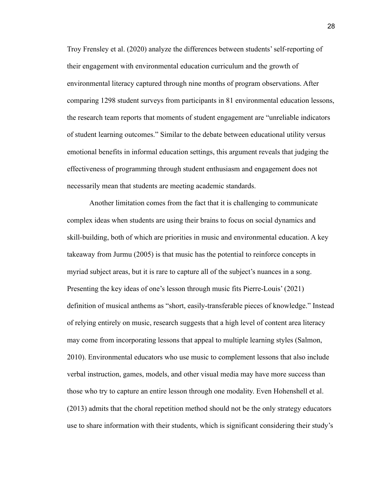Troy Frensley et al. (2020) analyze the differences between students' self-reporting of their engagement with environmental education curriculum and the growth of environmental literacy captured through nine months of program observations. After comparing 1298 student surveys from participants in 81 environmental education lessons, the research team reports that moments of student engagement are "unreliable indicators of student learning outcomes." Similar to the debate between educational utility versus emotional benefits in informal education settings, this argument reveals that judging the effectiveness of programming through student enthusiasm and engagement does not necessarily mean that students are meeting academic standards.

Another limitation comes from the fact that it is challenging to communicate complex ideas when students are using their brains to focus on social dynamics and skill-building, both of which are priorities in music and environmental education. A key takeaway from Jurmu (2005) is that music has the potential to reinforce concepts in myriad subject areas, but it is rare to capture all of the subject's nuances in a song. Presenting the key ideas of one's lesson through music fits Pierre-Louis' (2021) definition of musical anthems as "short, easily-transferable pieces of knowledge." Instead of relying entirely on music, research suggests that a high level of content area literacy may come from incorporating lessons that appeal to multiple learning styles (Salmon, 2010). Environmental educators who use music to complement lessons that also include verbal instruction, games, models, and other visual media may have more success than those who try to capture an entire lesson through one modality. Even Hohenshell et al. (2013) admits that the choral repetition method should not be the only strategy educators use to share information with their students, which is significant considering their study's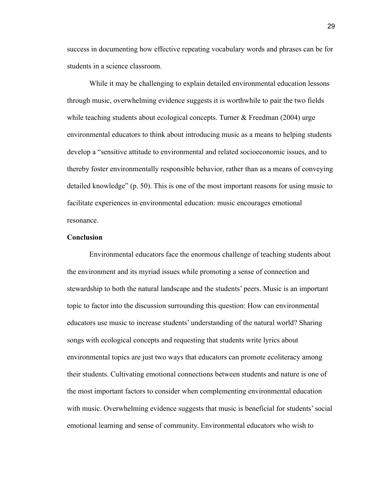success in documenting how effective repeating vocabulary words and phrases can be for students in a science classroom.

While it may be challenging to explain detailed environmental education lessons through music, overwhelming evidence suggests it is worthwhile to pair the two fields while teaching students about ecological concepts. Turner  $\&$  Freedman (2004) urge environmental educators to think about introducing music as a means to helping students develop a "sensitive attitude to environmental and related socioeconomic issues, and to thereby foster environmentally responsible behavior, rather than as a means of conveying detailed knowledge" (p. 50). This is one of the most important reasons for using music to facilitate experiences in environmental education: music encourages emotional resonance.

#### **Conclusion**

Environmental educators face the enormous challenge of teaching students about the environment and its myriad issues while promoting a sense of connection and stewardship to both the natural landscape and the students' peers. Music is an important topic to factor into the discussion surrounding this question: How can environmental educators use music to increase students' understanding of the natural world? Sharing songs with ecological concepts and requesting that students write lyrics about environmental topics are just two ways that educators can promote ecoliteracy among their students. Cultivating emotional connections between students and nature is one of the most important factors to consider when complementing environmental education with music. Overwhelming evidence suggests that music is beneficial for students' social emotional learning and sense of community. Environmental educators who wish to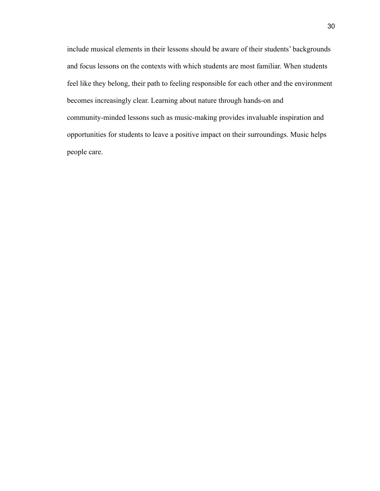include musical elements in their lessons should be aware of their students' backgrounds and focus lessons on the contexts with which students are most familiar. When students feel like they belong, their path to feeling responsible for each other and the environment becomes increasingly clear. Learning about nature through hands-on and community-minded lessons such as music-making provides invaluable inspiration and opportunities for students to leave a positive impact on their surroundings. Music helps people care.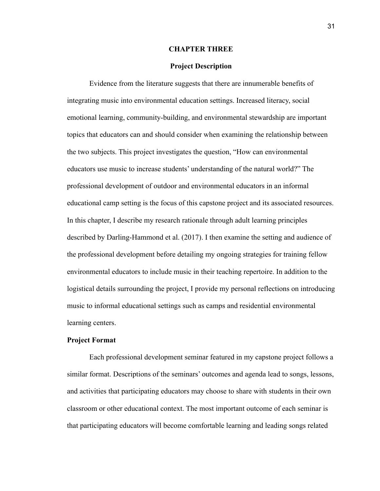#### **CHAPTER THREE**

#### **Project Description**

Evidence from the literature suggests that there are innumerable benefits of integrating music into environmental education settings. Increased literacy, social emotional learning, community-building, and environmental stewardship are important topics that educators can and should consider when examining the relationship between the two subjects. This project investigates the question, "How can environmental educators use music to increase students' understanding of the natural world?" The professional development of outdoor and environmental educators in an informal educational camp setting is the focus of this capstone project and its associated resources. In this chapter, I describe my research rationale through adult learning principles described by Darling-Hammond et al. (2017). I then examine the setting and audience of the professional development before detailing my ongoing strategies for training fellow environmental educators to include music in their teaching repertoire. In addition to the logistical details surrounding the project, I provide my personal reflections on introducing music to informal educational settings such as camps and residential environmental learning centers.

#### **Project Format**

Each professional development seminar featured in my capstone project follows a similar format. Descriptions of the seminars' outcomes and agenda lead to songs, lessons, and activities that participating educators may choose to share with students in their own classroom or other educational context. The most important outcome of each seminar is that participating educators will become comfortable learning and leading songs related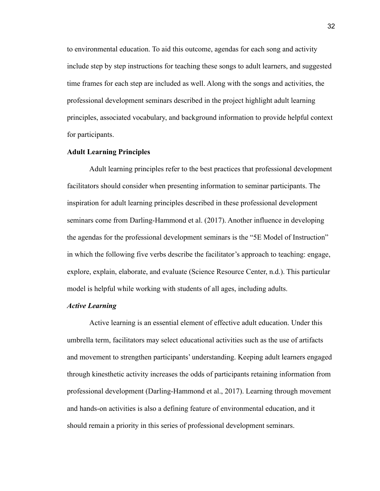to environmental education. To aid this outcome, agendas for each song and activity include step by step instructions for teaching these songs to adult learners, and suggested time frames for each step are included as well. Along with the songs and activities, the professional development seminars described in the project highlight adult learning principles, associated vocabulary, and background information to provide helpful context for participants.

#### **Adult Learning Principles**

Adult learning principles refer to the best practices that professional development facilitators should consider when presenting information to seminar participants. The inspiration for adult learning principles described in these professional development seminars come from Darling-Hammond et al. (2017). Another influence in developing the agendas for the professional development seminars is the "5E Model of Instruction" in which the following five verbs describe the facilitator's approach to teaching: engage, explore, explain, elaborate, and evaluate (Science Resource Center, n.d.). This particular model is helpful while working with students of all ages, including adults.

#### *Active Learning*

Active learning is an essential element of effective adult education. Under this umbrella term, facilitators may select educational activities such as the use of artifacts and movement to strengthen participants' understanding. Keeping adult learners engaged through kinesthetic activity increases the odds of participants retaining information from professional development (Darling-Hammond et al., 2017). Learning through movement and hands-on activities is also a defining feature of environmental education, and it should remain a priority in this series of professional development seminars.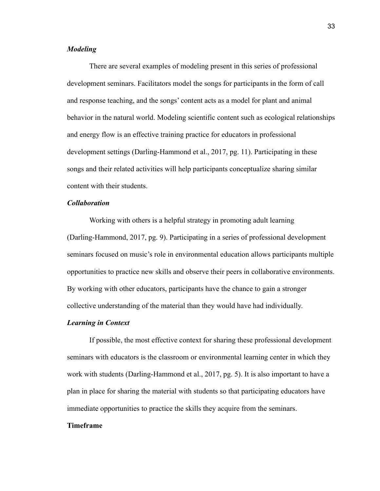#### *Modeling*

There are several examples of modeling present in this series of professional development seminars. Facilitators model the songs for participants in the form of call and response teaching, and the songs' content acts as a model for plant and animal behavior in the natural world. Modeling scientific content such as ecological relationships and energy flow is an effective training practice for educators in professional development settings (Darling-Hammond et al., 2017, pg. 11). Participating in these songs and their related activities will help participants conceptualize sharing similar content with their students.

### *Collaboration*

Working with others is a helpful strategy in promoting adult learning (Darling-Hammond, 2017, pg. 9). Participating in a series of professional development seminars focused on music's role in environmental education allows participants multiple opportunities to practice new skills and observe their peers in collaborative environments. By working with other educators, participants have the chance to gain a stronger collective understanding of the material than they would have had individually.

#### *Learning in Context*

If possible, the most effective context for sharing these professional development seminars with educators is the classroom or environmental learning center in which they work with students (Darling-Hammond et al., 2017, pg. 5). It is also important to have a plan in place for sharing the material with students so that participating educators have immediate opportunities to practice the skills they acquire from the seminars.

#### **Timeframe**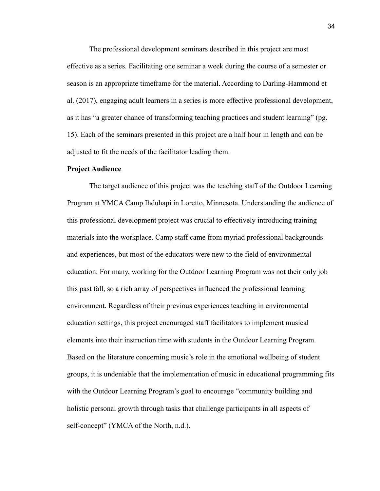The professional development seminars described in this project are most effective as a series. Facilitating one seminar a week during the course of a semester or season is an appropriate timeframe for the material. According to Darling-Hammond et al. (2017), engaging adult learners in a series is more effective professional development, as it has "a greater chance of transforming teaching practices and student learning" (pg. 15). Each of the seminars presented in this project are a half hour in length and can be adjusted to fit the needs of the facilitator leading them.

#### **Project Audience**

The target audience of this project was the teaching staff of the Outdoor Learning Program at YMCA Camp Ihduhapi in Loretto, Minnesota. Understanding the audience of this professional development project was crucial to effectively introducing training materials into the workplace. Camp staff came from myriad professional backgrounds and experiences, but most of the educators were new to the field of environmental education. For many, working for the Outdoor Learning Program was not their only job this past fall, so a rich array of perspectives influenced the professional learning environment. Regardless of their previous experiences teaching in environmental education settings, this project encouraged staff facilitators to implement musical elements into their instruction time with students in the Outdoor Learning Program. Based on the literature concerning music's role in the emotional wellbeing of student groups, it is undeniable that the implementation of music in educational programming fits with the Outdoor Learning Program's goal to encourage "community building and holistic personal growth through tasks that challenge participants in all aspects of self-concept" (YMCA of the North, n.d.).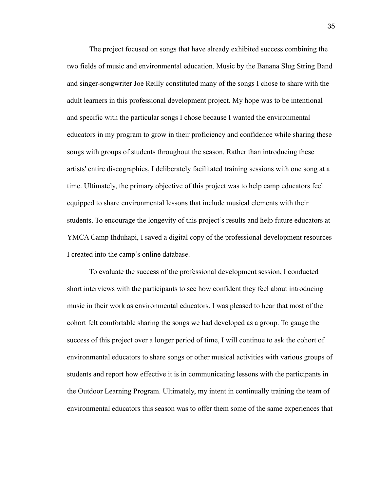The project focused on songs that have already exhibited success combining the two fields of music and environmental education. Music by the Banana Slug String Band and singer-songwriter Joe Reilly constituted many of the songs I chose to share with the adult learners in this professional development project. My hope was to be intentional and specific with the particular songs I chose because I wanted the environmental educators in my program to grow in their proficiency and confidence while sharing these songs with groups of students throughout the season. Rather than introducing these artists' entire discographies, I deliberately facilitated training sessions with one song at a time. Ultimately, the primary objective of this project was to help camp educators feel equipped to share environmental lessons that include musical elements with their students. To encourage the longevity of this project's results and help future educators at YMCA Camp Ihduhapi, I saved a digital copy of the professional development resources I created into the camp's online database.

To evaluate the success of the professional development session, I conducted short interviews with the participants to see how confident they feel about introducing music in their work as environmental educators. I was pleased to hear that most of the cohort felt comfortable sharing the songs we had developed as a group. To gauge the success of this project over a longer period of time, I will continue to ask the cohort of environmental educators to share songs or other musical activities with various groups of students and report how effective it is in communicating lessons with the participants in the Outdoor Learning Program. Ultimately, my intent in continually training the team of environmental educators this season was to offer them some of the same experiences that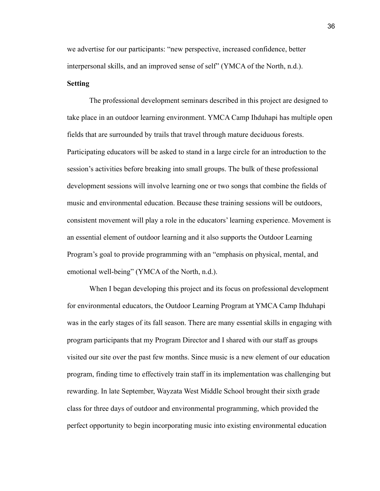we advertise for our participants: "new perspective, increased confidence, better interpersonal skills, and an improved sense of self" (YMCA of the North, n.d.). **Setting**

The professional development seminars described in this project are designed to take place in an outdoor learning environment. YMCA Camp Ihduhapi has multiple open fields that are surrounded by trails that travel through mature deciduous forests. Participating educators will be asked to stand in a large circle for an introduction to the session's activities before breaking into small groups. The bulk of these professional development sessions will involve learning one or two songs that combine the fields of music and environmental education. Because these training sessions will be outdoors, consistent movement will play a role in the educators' learning experience. Movement is an essential element of outdoor learning and it also supports the Outdoor Learning Program's goal to provide programming with an "emphasis on physical, mental, and emotional well-being" (YMCA of the North, n.d.).

When I began developing this project and its focus on professional development for environmental educators, the Outdoor Learning Program at YMCA Camp Ihduhapi was in the early stages of its fall season. There are many essential skills in engaging with program participants that my Program Director and I shared with our staff as groups visited our site over the past few months. Since music is a new element of our education program, finding time to effectively train staff in its implementation was challenging but rewarding. In late September, Wayzata West Middle School brought their sixth grade class for three days of outdoor and environmental programming, which provided the perfect opportunity to begin incorporating music into existing environmental education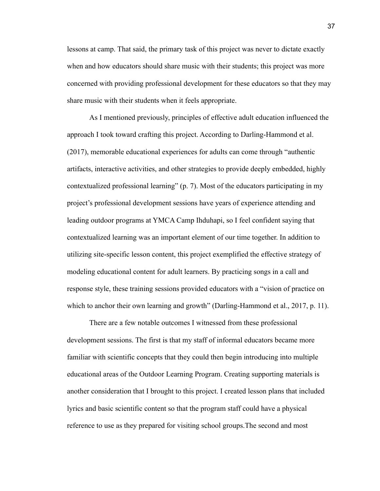lessons at camp. That said, the primary task of this project was never to dictate exactly when and how educators should share music with their students; this project was more concerned with providing professional development for these educators so that they may share music with their students when it feels appropriate.

As I mentioned previously, principles of effective adult education influenced the approach I took toward crafting this project. According to Darling-Hammond et al. (2017), memorable educational experiences for adults can come through "authentic artifacts, interactive activities, and other strategies to provide deeply embedded, highly contextualized professional learning" (p. 7). Most of the educators participating in my project's professional development sessions have years of experience attending and leading outdoor programs at YMCA Camp Ihduhapi, so I feel confident saying that contextualized learning was an important element of our time together. In addition to utilizing site-specific lesson content, this project exemplified the effective strategy of modeling educational content for adult learners. By practicing songs in a call and response style, these training sessions provided educators with a "vision of practice on which to anchor their own learning and growth" (Darling-Hammond et al., 2017, p. 11).

There are a few notable outcomes I witnessed from these professional development sessions. The first is that my staff of informal educators became more familiar with scientific concepts that they could then begin introducing into multiple educational areas of the Outdoor Learning Program. Creating supporting materials is another consideration that I brought to this project. I created lesson plans that included lyrics and basic scientific content so that the program staff could have a physical reference to use as they prepared for visiting school groups.The second and most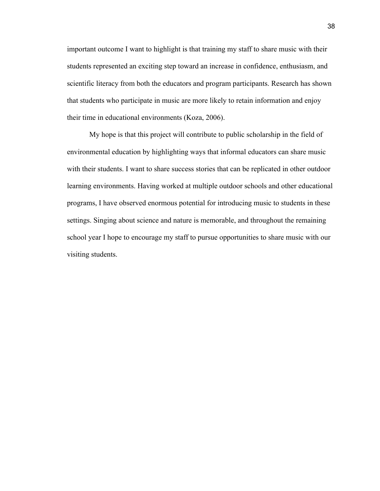important outcome I want to highlight is that training my staff to share music with their students represented an exciting step toward an increase in confidence, enthusiasm, and scientific literacy from both the educators and program participants. Research has shown that students who participate in music are more likely to retain information and enjoy their time in educational environments (Koza, 2006).

My hope is that this project will contribute to public scholarship in the field of environmental education by highlighting ways that informal educators can share music with their students. I want to share success stories that can be replicated in other outdoor learning environments. Having worked at multiple outdoor schools and other educational programs, I have observed enormous potential for introducing music to students in these settings. Singing about science and nature is memorable, and throughout the remaining school year I hope to encourage my staff to pursue opportunities to share music with our visiting students.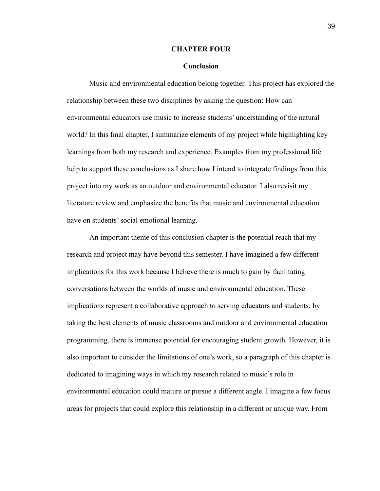#### **CHAPTER FOUR**

#### **Conclusion**

Music and environmental education belong together. This project has explored the relationship between these two disciplines by asking the question: How can environmental educators use music to increase students' understanding of the natural world? In this final chapter, I summarize elements of my project while highlighting key learnings from both my research and experience. Examples from my professional life help to support these conclusions as I share how I intend to integrate findings from this project into my work as an outdoor and environmental educator. I also revisit my literature review and emphasize the benefits that music and environmental education have on students' social emotional learning.

An important theme of this conclusion chapter is the potential reach that my research and project may have beyond this semester. I have imagined a few different implications for this work because I believe there is much to gain by facilitating conversations between the worlds of music and environmental education. These implications represent a collaborative approach to serving educators and students; by taking the best elements of music classrooms and outdoor and environmental education programming, there is immense potential for encouraging student growth. However, it is also important to consider the limitations of one's work, so a paragraph of this chapter is dedicated to imagining ways in which my research related to music's role in environmental education could mature or pursue a different angle. I imagine a few focus areas for projects that could explore this relationship in a different or unique way. From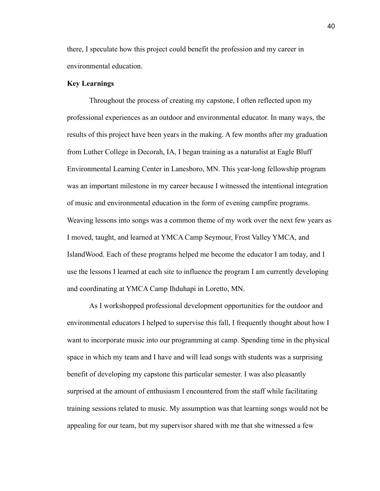there, I speculate how this project could benefit the profession and my career in environmental education.

#### **Key Learnings**

Throughout the process of creating my capstone, I often reflected upon my professional experiences as an outdoor and environmental educator. In many ways, the results of this project have been years in the making. A few months after my graduation from Luther College in Decorah, IA, I began training as a naturalist at Eagle Bluff Environmental Learning Center in Lanesboro, MN. This year-long fellowship program was an important milestone in my career because I witnessed the intentional integration of music and environmental education in the form of evening campfire programs. Weaving lessons into songs was a common theme of my work over the next few years as I moved, taught, and learned at YMCA Camp Seymour, Frost Valley YMCA, and IslandWood. Each of these programs helped me become the educator I am today, and I use the lessons I learned at each site to influence the program I am currently developing and coordinating at YMCA Camp Ihduhapi in Loretto, MN.

As I workshopped professional development opportunities for the outdoor and environmental educators I helped to supervise this fall, I frequently thought about how I want to incorporate music into our programming at camp. Spending time in the physical space in which my team and I have and will lead songs with students was a surprising benefit of developing my capstone this particular semester. I was also pleasantly surprised at the amount of enthusiasm I encountered from the staff while facilitating training sessions related to music. My assumption was that learning songs would not be appealing for our team, but my supervisor shared with me that she witnessed a few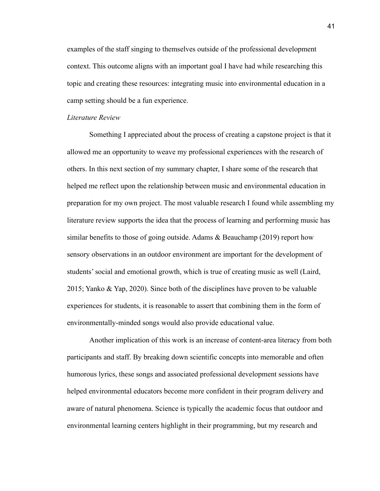examples of the staff singing to themselves outside of the professional development context. This outcome aligns with an important goal I have had while researching this topic and creating these resources: integrating music into environmental education in a camp setting should be a fun experience.

#### *Literature Review*

Something I appreciated about the process of creating a capstone project is that it allowed me an opportunity to weave my professional experiences with the research of others. In this next section of my summary chapter, I share some of the research that helped me reflect upon the relationship between music and environmental education in preparation for my own project. The most valuable research I found while assembling my literature review supports the idea that the process of learning and performing music has similar benefits to those of going outside. Adams  $\&$  Beauchamp (2019) report how sensory observations in an outdoor environment are important for the development of students' social and emotional growth, which is true of creating music as well (Laird, 2015; Yanko & Yap, 2020). Since both of the disciplines have proven to be valuable experiences for students, it is reasonable to assert that combining them in the form of environmentally-minded songs would also provide educational value.

Another implication of this work is an increase of content-area literacy from both participants and staff. By breaking down scientific concepts into memorable and often humorous lyrics, these songs and associated professional development sessions have helped environmental educators become more confident in their program delivery and aware of natural phenomena. Science is typically the academic focus that outdoor and environmental learning centers highlight in their programming, but my research and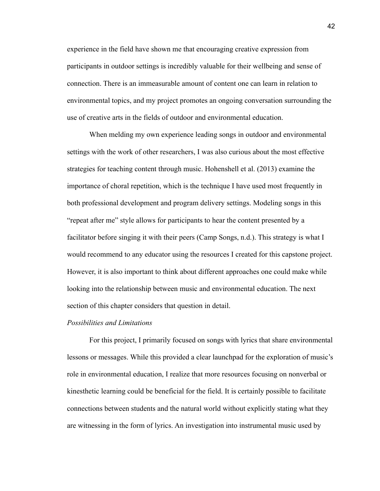experience in the field have shown me that encouraging creative expression from participants in outdoor settings is incredibly valuable for their wellbeing and sense of connection. There is an immeasurable amount of content one can learn in relation to environmental topics, and my project promotes an ongoing conversation surrounding the use of creative arts in the fields of outdoor and environmental education.

When melding my own experience leading songs in outdoor and environmental settings with the work of other researchers, I was also curious about the most effective strategies for teaching content through music. Hohenshell et al. (2013) examine the importance of choral repetition, which is the technique I have used most frequently in both professional development and program delivery settings. Modeling songs in this "repeat after me" style allows for participants to hear the content presented by a facilitator before singing it with their peers (Camp Songs, n.d.). This strategy is what I would recommend to any educator using the resources I created for this capstone project. However, it is also important to think about different approaches one could make while looking into the relationship between music and environmental education. The next section of this chapter considers that question in detail.

#### *Possibilities and Limitations*

For this project, I primarily focused on songs with lyrics that share environmental lessons or messages. While this provided a clear launchpad for the exploration of music's role in environmental education, I realize that more resources focusing on nonverbal or kinesthetic learning could be beneficial for the field. It is certainly possible to facilitate connections between students and the natural world without explicitly stating what they are witnessing in the form of lyrics. An investigation into instrumental music used by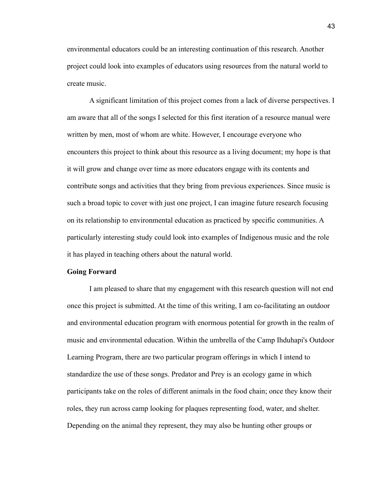environmental educators could be an interesting continuation of this research. Another project could look into examples of educators using resources from the natural world to create music.

A significant limitation of this project comes from a lack of diverse perspectives. I am aware that all of the songs I selected for this first iteration of a resource manual were written by men, most of whom are white. However, I encourage everyone who encounters this project to think about this resource as a living document; my hope is that it will grow and change over time as more educators engage with its contents and contribute songs and activities that they bring from previous experiences. Since music is such a broad topic to cover with just one project, I can imagine future research focusing on its relationship to environmental education as practiced by specific communities. A particularly interesting study could look into examples of Indigenous music and the role it has played in teaching others about the natural world.

#### **Going Forward**

I am pleased to share that my engagement with this research question will not end once this project is submitted. At the time of this writing, I am co-facilitating an outdoor and environmental education program with enormous potential for growth in the realm of music and environmental education. Within the umbrella of the Camp Ihduhapi's Outdoor Learning Program, there are two particular program offerings in which I intend to standardize the use of these songs. Predator and Prey is an ecology game in which participants take on the roles of different animals in the food chain; once they know their roles, they run across camp looking for plaques representing food, water, and shelter. Depending on the animal they represent, they may also be hunting other groups or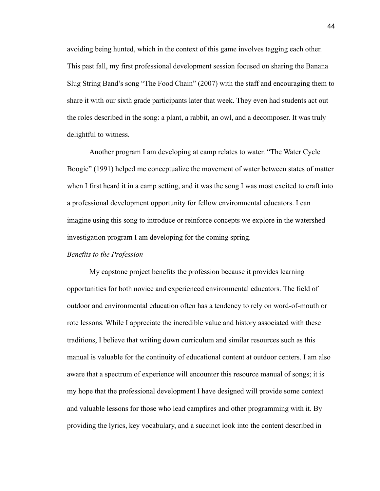avoiding being hunted, which in the context of this game involves tagging each other. This past fall, my first professional development session focused on sharing the Banana Slug String Band's song "The Food Chain" (2007) with the staff and encouraging them to share it with our sixth grade participants later that week. They even had students act out the roles described in the song: a plant, a rabbit, an owl, and a decomposer. It was truly delightful to witness.

Another program I am developing at camp relates to water. "The Water Cycle Boogie" (1991) helped me conceptualize the movement of water between states of matter when I first heard it in a camp setting, and it was the song I was most excited to craft into a professional development opportunity for fellow environmental educators. I can imagine using this song to introduce or reinforce concepts we explore in the watershed investigation program I am developing for the coming spring.

#### *Benefits to the Profession*

My capstone project benefits the profession because it provides learning opportunities for both novice and experienced environmental educators. The field of outdoor and environmental education often has a tendency to rely on word-of-mouth or rote lessons. While I appreciate the incredible value and history associated with these traditions, I believe that writing down curriculum and similar resources such as this manual is valuable for the continuity of educational content at outdoor centers. I am also aware that a spectrum of experience will encounter this resource manual of songs; it is my hope that the professional development I have designed will provide some context and valuable lessons for those who lead campfires and other programming with it. By providing the lyrics, key vocabulary, and a succinct look into the content described in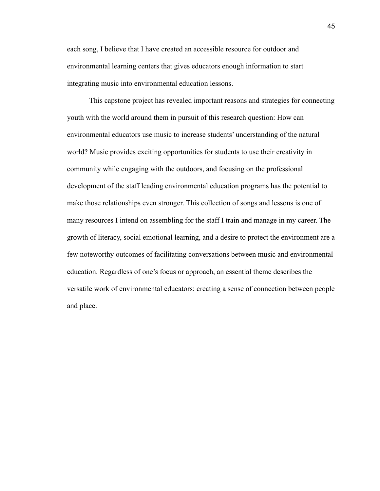each song, I believe that I have created an accessible resource for outdoor and environmental learning centers that gives educators enough information to start integrating music into environmental education lessons.

This capstone project has revealed important reasons and strategies for connecting youth with the world around them in pursuit of this research question: How can environmental educators use music to increase students' understanding of the natural world? Music provides exciting opportunities for students to use their creativity in community while engaging with the outdoors, and focusing on the professional development of the staff leading environmental education programs has the potential to make those relationships even stronger. This collection of songs and lessons is one of many resources I intend on assembling for the staff I train and manage in my career. The growth of literacy, social emotional learning, and a desire to protect the environment are a few noteworthy outcomes of facilitating conversations between music and environmental education. Regardless of one's focus or approach, an essential theme describes the versatile work of environmental educators: creating a sense of connection between people and place.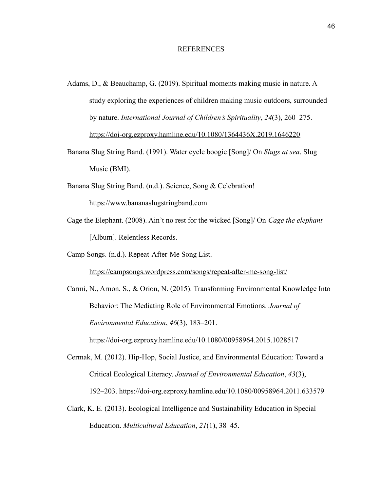#### REFERENCES

- Adams, D., & Beauchamp, G. (2019). Spiritual moments making music in nature. A study exploring the experiences of children making music outdoors, surrounded by nature. *International Journal of Children's Spirituality*, *24*(3), 260–275. <https://doi-org.ezproxy.hamline.edu/10.1080/1364436X.2019.1646220>
- Banana Slug String Band. (1991). Water cycle boogie [Song]/ On *Slugs at sea*. Slug Music (BMI).
- Banana Slug String Band. (n.d.). Science, Song & Celebration! https://www.bananaslugstringband.com
- Cage the Elephant. (2008). Ain't no rest for the wicked [Song]/ On *Cage the elephant* [Album]. Relentless Records.
- Camp Songs. (n.d.). Repeat-After-Me Song List.

<https://campsongs.wordpress.com/songs/repeat-after-me-song-list/>

Carmi, N., Arnon, S., & Orion, N. (2015). Transforming Environmental Knowledge Into Behavior: The Mediating Role of Environmental Emotions. *Journal of Environmental Education*, *46*(3), 183–201.

https://doi-org.ezproxy.hamline.edu/10.1080/00958964.2015.1028517

- Cermak, M. (2012). Hip-Hop, Social Justice, and Environmental Education: Toward a Critical Ecological Literacy. *Journal of Environmental Education*, *43*(3), 192–203. https://doi-org.ezproxy.hamline.edu/10.1080/00958964.2011.633579
- Clark, K. E. (2013). Ecological Intelligence and Sustainability Education in Special Education. *Multicultural Education*, *21*(1), 38–45.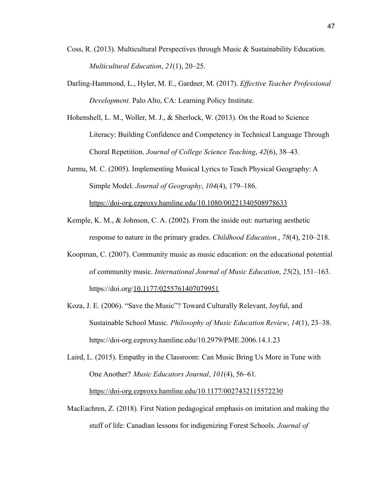- Coss, R. (2013). Multicultural Perspectives through Music & Sustainability Education. *Multicultural Education*, *21*(1), 20–25.
- Darling-Hammond, L., Hyler, M. E., Gardner, M. (2017). *Effective Teacher Professional Development*. Palo Alto, CA: Learning Policy Institute.
- Hohenshell, L. M., Woller, M. J., & Sherlock, W. (2013). On the Road to Science Literacy: Building Confidence and Competency in Technical Language Through Choral Repetition. *Journal of College Science Teaching*, *42*(6), 38–43.
- Jurmu, M. C. (2005). Implementing Musical Lyrics to Teach Physical Geography: A Simple Model. *Journal of Geography*, *104*(4), 179–186. <https://doi-org.ezproxy.hamline.edu/10.1080/00221340508978633>
- Kemple, K. M., & Johnson, C. A. (2002). From the inside out: nurturing aesthetic response to nature in the primary grades. *Childhood Education.*, *78*(4), 210–218.
- Koopman, C. (2007). Community music as music education: on the educational potential of community music. *International Journal of Music Education*, *25*(2), 151–163. https://doi.org/[10.1177/0255761407079951](https://doi-org.ezproxy.hamline.edu/10.1177/0255761407079951)
- Koza, J. E. (2006). "Save the Music"? Toward Culturally Relevant, Joyful, and Sustainable School Music. *Philosophy of Music Education Review*, *14*(1), 23–38. https://doi-org.ezproxy.hamline.edu/10.2979/PME.2006.14.1.23

Laird, L. (2015). Empathy in the Classroom: Can Music Bring Us More in Tune with One Another? *Music Educators Journal*, *101*(4), 56–61.

<https://doi-org.ezproxy.hamline.edu/10.1177/0027432115572230>

MacEachren, Z. (2018). First Nation pedagogical emphasis on imitation and making the stuff of life: Canadian lessons for indigenizing Forest Schools. *Journal of*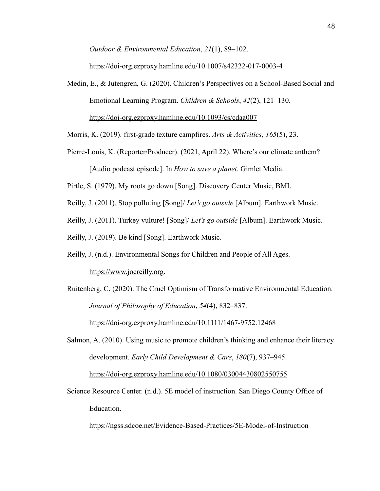*Outdoor & Environmental Education*, *21*(1), 89–102.

https://doi-org.ezproxy.hamline.edu/10.1007/s42322-017-0003-4

Medin, E., & Jutengren, G. (2020). Children's Perspectives on a School-Based Social and Emotional Learning Program. *Children & Schools*, *42*(2), 121–130. <https://doi-org.ezproxy.hamline.edu/10.1093/cs/cdaa007>

Morris, K. (2019). first-grade texture campfires. *Arts & Activities*, *165*(5), 23.

Pierre-Louis, K. (Reporter/Producer). (2021, April 22). Where's our climate anthem?

[Audio podcast episode]. In *How to save a planet*. Gimlet Media.

Pirtle, S. (1979). My roots go down [Song]. Discovery Center Music, BMI.

Reilly, J. (2011). Stop polluting [Song]/ *Let's go outside* [Album]. Earthwork Music.

Reilly, J. (2011). Turkey vulture! [Song]/ *Let's go outside* [Album]. Earthwork Music.

Reilly, J. (2019). Be kind [Song]. Earthwork Music.

Reilly, J. (n.d.). Environmental Songs for Children and People of All Ages.

[https://www.joereilly.org.](https://www.joereilly.org)

Ruitenberg, C. (2020). The Cruel Optimism of Transformative Environmental Education. *Journal of Philosophy of Education*, *54*(4), 832–837.

https://doi-org.ezproxy.hamline.edu/10.1111/1467-9752.12468

- Salmon, A. (2010). Using music to promote children's thinking and enhance their literacy development. *Early Child Development & Care*, *180*(7), 937–945. <https://doi-org.ezproxy.hamline.edu/10.1080/03004430802550755>
- Science Resource Center. (n.d.). 5E model of instruction. San Diego County Office of Education.

https://ngss.sdcoe.net/Evidence-Based-Practices/5E-Model-of-Instruction